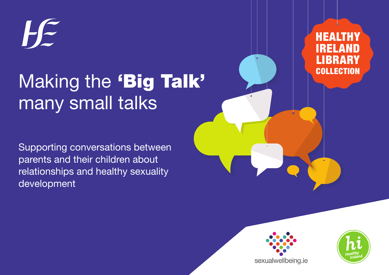$H \subseteq$ 

# Making the 'Big Talk' many small talks

Supporting conversations between parents and their children about relationships and healthy sexuality development





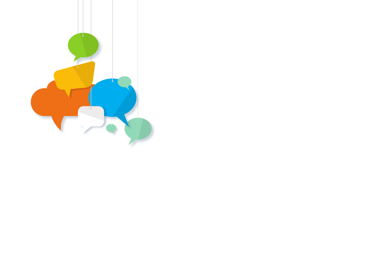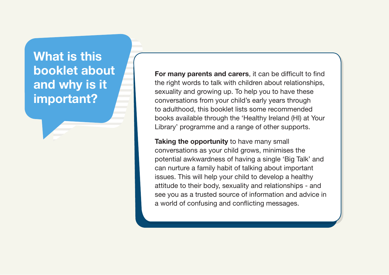## **What is this booklet about and why is it important?**

**For many parents and carers**, it can be difficult to find the right words to talk with children about relationships, sexuality and growing up. To help you to have these conversations from your child's early years through to adulthood, this booklet lists some recommended books available through the 'Healthy Ireland (HI) at Your Library' programme and a range of other supports.

**Taking the opportunity** to have many small conversations as your child grows, minimises the potential awkwardness of having a single 'Big Talk' and can nurture a family habit of talking about important issues. This will help your child to develop a healthy attitude to their body, sexuality and relationships - and see you as a trusted source of information and advice in a world of confusing and conflicting messages.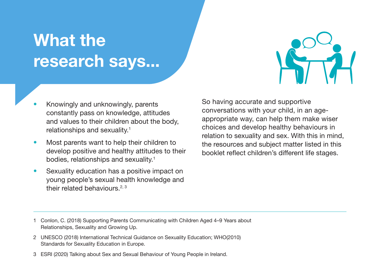## **What the research says...**



- Knowingly and unknowingly, parents constantly pass on knowledge, attitudes and values to their children about the body, relationships and sexuality.1
- Most parents want to help their children to develop positive and healthy attitudes to their bodies, relationships and sexuality.1
- Sexuality education has a positive impact on young people's sexual health knowledge and their related behaviours.<sup>2, 3</sup>

So having accurate and supportive conversations with your child, in an ageappropriate way, can help them make wiser choices and develop healthy behaviours in relation to sexuality and sex. With this in mind, the resources and subject matter listed in this booklet reflect children's different life stages.

- 1 Conlon, C. (2018) Supporting Parents Communicating with Children Aged 4–9 Years about Relationships, Sexuality and Growing Up.
- 2 UNESCO (2018) International Technical Guidance on Sexuality Education; WHO(2010) Standards for Sexuality Education in Europe.
- 3 ESRI (2020) Talking about Sex and Sexual Behaviour of Young People in Ireland.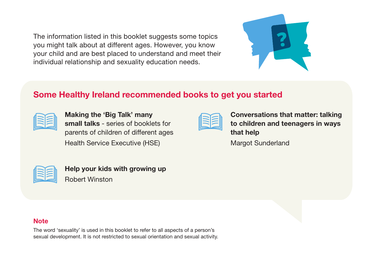The information listed in this booklet suggests some topics you might talk about at different ages. However, you know your child and are best placed to understand and meet their individual relationship and sexuality education needs.



#### **Some Healthy Ireland recommended books to get you started**



**Making the 'Big Talk' many small talks** - series of booklets for parents of children of different ages Health Service Executive (HSE)

**Conversations that matter: talking to children and teenagers in ways that help**

Margot Sunderland



**Help your kids with growing up** Robert Winston

#### **Note**

The word 'sexuality' is used in this booklet to refer to all aspects of a person's sexual development. It is not restricted to sexual orientation and sexual activity.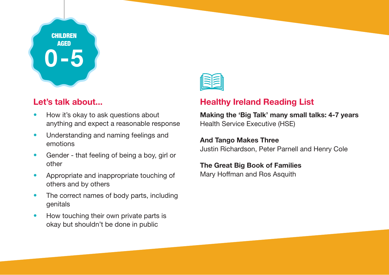

#### **Let's talk about...**

- How it's okay to ask questions about anything and expect a reasonable response
- Understanding and naming feelings and emotions
- Gender that feeling of being a boy, girl or other
- Appropriate and inappropriate touching of others and by others
- The correct names of body parts, including genitals
- How touching their own private parts is okay but shouldn't be done in public



### **Healthy Ireland Reading List**

**Making the 'Big Talk' many small talks: 4-7 years** Health Service Executive (HSE)

#### **And Tango Makes Three**

Justin Richardson, Peter Parnell and Henry Cole

#### **The Great Big Book of Families**

Mary Hoffman and Ros Asquith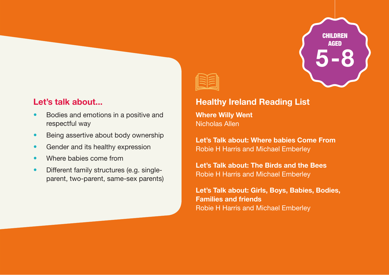



#### **Let's talk about...**

- Bodies and emotions in a positive and respectful way
- Being assertive about body ownership
- Gender and its healthy expression
- Where babies come from
- Different family structures (e.g. singleparent, two-parent, same-sex parents)

#### **Healthy Ireland Reading List**

**Where Willy Went** Nicholas Allen

**Let's Talk about: Where babies Come From** Robie H Harris and Michael Emberley

**Let's Talk about: The Birds and the Bees** Robie H Harris and Michael Emberley

**Let's Talk about: Girls, Boys, Babies, Bodies, Families and friends**  Robie H Harris and Michael Emberley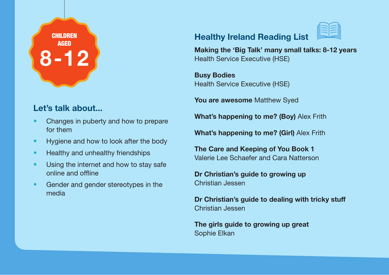

#### **Let's talk about...**

- Changes in puberty and how to prepare for them
- Hygiene and how to look after the body
- Healthy and unhealthy friendships
- Using the internet and how to stay safe online and offline
- Gender and gender stereotypes in the media

### **Healthy Ireland Reading List**



**Making the 'Big Talk' many small talks: 8-12 years**  Health Service Executive (HSE)

**Busy Bodies** Health Service Executive (HSE)

You are awesome Matthew Syed

**What's happening to me? (Boy)** Alex Frith

**What's happening to me? (Girl)** Alex Frith

**The Care and Keeping of You Book 1**  Valerie Lee Schaefer and Cara Natterson

**Dr Christian's guide to growing up**  Christian Jessen

**Dr Christian's guide to dealing with tricky stuff**  Christian Jessen

**The girls guide to growing up great** Sophie Elkan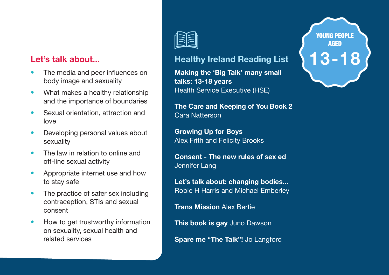- body image and sexuality
- What makes a healthy relationship and the importance of boundaries
- Sexual orientation, attraction and love
- Developing personal values about sexuality
- The law in relation to online and off-line sexual activity
- Appropriate internet use and how to stay safe
- The practice of safer sex including contraception, STIs and sexual consent
- How to get trustworthy information on sexuality, sexual health and related services



**Making the 'Big Talk' many small talks: 13-18 years**  Health Service Executive (HSE)

**The Care and Keeping of You Book 2** Cara Natterson

**Growing Up for Boys** Alex Frith and Felicity Brooks

**Consent - The new rules of sex ed** Jennifer Lang

**Let's talk about: changing bodies...** Robie H Harris and Michael Emberley

**Trans Mission** Alex Bertie

**This book is gay** Juno Dawson

**Spare me "The Talk"!** Jo Langford

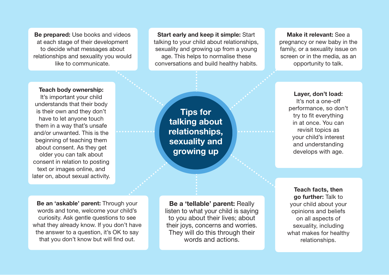**Be prepared:** Use books and videos at each stage of their development to decide what messages about relationships and sexuality you would like to communicate.

**Start early and keep it simple:** Start talking to your child about relationships, sexuality and growing up from a young age. This helps to normalise these conversations and build healthy habits.

**Make it relevant:** See a pregnancy or new baby in the family, or a sexuality issue on screen or in the media, as an opportunity to talk.

> **Layer, don't load:**  It's not a one-off performance, so don't try to fit everything in at once. You can revisit topics as your child's interest and understanding develops with age.

**Be an 'askable' parent:** Through your words and tone, welcome your child's curiosity. Ask gentle questions to see what they already know. If you don't have the answer to a question, it's OK to say that you don't know but will find out.

**Be a 'tellable' parent:** Really listen to what your child is saying to you about their lives; about their joys, concerns and worries. They will do this through their words and actions.

**Teach facts, then go further:** Talk to your child about your opinions and beliefs on all aspects of sexuality, including what makes for healthy relationships.

#### **Teach body ownership:**

It's important your child understands that their body is their own and they don't have to let anyone touch them in a way that's unsafe and/or unwanted. This is the beginning of teaching them about consent. As they get older you can talk about consent in relation to posting text or images online, and later on, about sexual activity.

**Tips for talking about relationships,** 

**sexuality and growing up**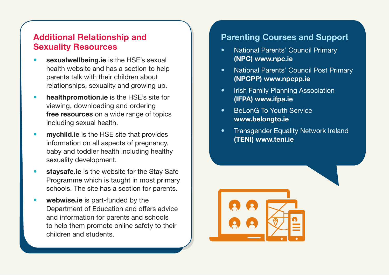#### **Additional Relationship and Sexuality Resources**

- **sexualwellbeing.ie** is the HSE's sexual health website and has a section to help parents talk with their children about relationships, sexuality and growing up.
- **healthpromotion.ie** is the HSE's site for viewing, downloading and ordering **free resources** on a wide range of topics including sexual health.
- **mychild.ie** is the HSE site that provides information on all aspects of pregnancy, baby and toddler health including healthy sexuality development.
- staysafe.ie is the website for the Stay Safe Programme which is taught in most primary schools. The site has a section for parents.
- webwise.ie is part-funded by the Department of Education and offers advice and information for parents and schools to help them promote online safety to their children and students.

#### **Parenting Courses and Support**

- National Parents' Council Primary **(NPC) www.npc.ie**
- National Parents' Council Post Primary **(NPCPP) www.npcpp.ie**
- Irish Family Planning Association **(IFPA) www.ifpa.ie**
- BeLonG To Youth Service **www.belongto.ie**
- Transgender Equality Network Ireland **(TENI) www.teni.ie**